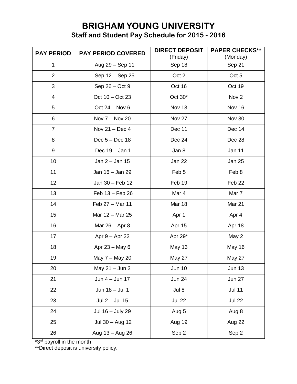## **BRIGHAM YOUNG UNIVERSITY Staff and Student Pay Schedule for 2015 - 2016**

| <b>PAY PERIOD</b><br><b>PAY PERIOD COVERED</b> |                  | <b>DIRECT DEPOSIT</b><br>(Friday) | <b>PAPER CHECKS**</b><br>(Monday) |
|------------------------------------------------|------------------|-----------------------------------|-----------------------------------|
| 1                                              | Aug 29 - Sep 11  | Sep 18                            | Sep 21                            |
| $\overline{2}$                                 | Sep 12 - Sep 25  | Oct 2                             | Oct 5                             |
| 3                                              | Sep 26 – Oct 9   | Oct 16                            | Oct 19                            |
| 4                                              | Oct 10 - Oct 23  | Oct 30*                           | Nov <sub>2</sub>                  |
| 5                                              | Oct $24 - Nov 6$ | Nov 13                            | Nov 16                            |
| 6                                              | Nov 7 - Nov 20   | Nov 27                            | Nov 30                            |
| $\overline{7}$                                 | Nov $21 - Dec 4$ | Dec 11                            | Dec 14                            |
| 8                                              | Dec $5 - Dec 18$ | Dec 24                            | Dec 28                            |
| 9                                              | Dec 19 - Jan 1   | Jan 8                             | Jan 11                            |
| 10                                             | Jan 2 - Jan 15   | Jan 22                            | <b>Jan 25</b>                     |
| 11                                             | Jan 16 - Jan 29  | Feb 5                             | Feb 8                             |
| 12                                             | Jan 30 - Feb 12  | Feb 19                            | Feb 22                            |
| 13                                             | Feb 13 - Feb 26  | Mar 4                             | Mar 7                             |
| 14                                             | Feb 27 - Mar 11  | <b>Mar 18</b>                     | Mar 21                            |
| 15                                             | Mar 12 - Mar 25  | Apr 1                             | Apr 4                             |
| 16                                             | Mar $26 -$ Apr 8 | Apr 15                            | Apr 18                            |
| 17                                             | Apr 9 - Apr 22   | Apr 29*                           | May 2                             |
| 18                                             | Apr 23 - May 6   | <b>May 13</b>                     | May 16                            |
| 19                                             | May 7 - May 20   | May 27                            | <b>May 27</b>                     |
| 20                                             | May 21 - Jun 3   | <b>Jun 10</b>                     | <b>Jun 13</b>                     |
| 21                                             | Jun 4 - Jun 17   | <b>Jun 24</b>                     | <b>Jun 27</b>                     |
| 22                                             | Jun 18 - Jul 1   | Jul 8                             | <b>Jul 11</b>                     |
| 23                                             | Jul $2 -$ Jul 15 | <b>Jul 22</b>                     | <b>Jul 22</b>                     |
| 24                                             | Jul 16 - July 29 | Aug 5                             | Aug 8                             |
| 25                                             | Jul 30 - Aug 12  | Aug 19                            | Aug 22                            |
| 26                                             | Aug 13 - Aug 26  | Sep 2                             | Sep 2                             |

\*3<sup>rd</sup> payroll in the month

\*\*Direct deposit is university policy.